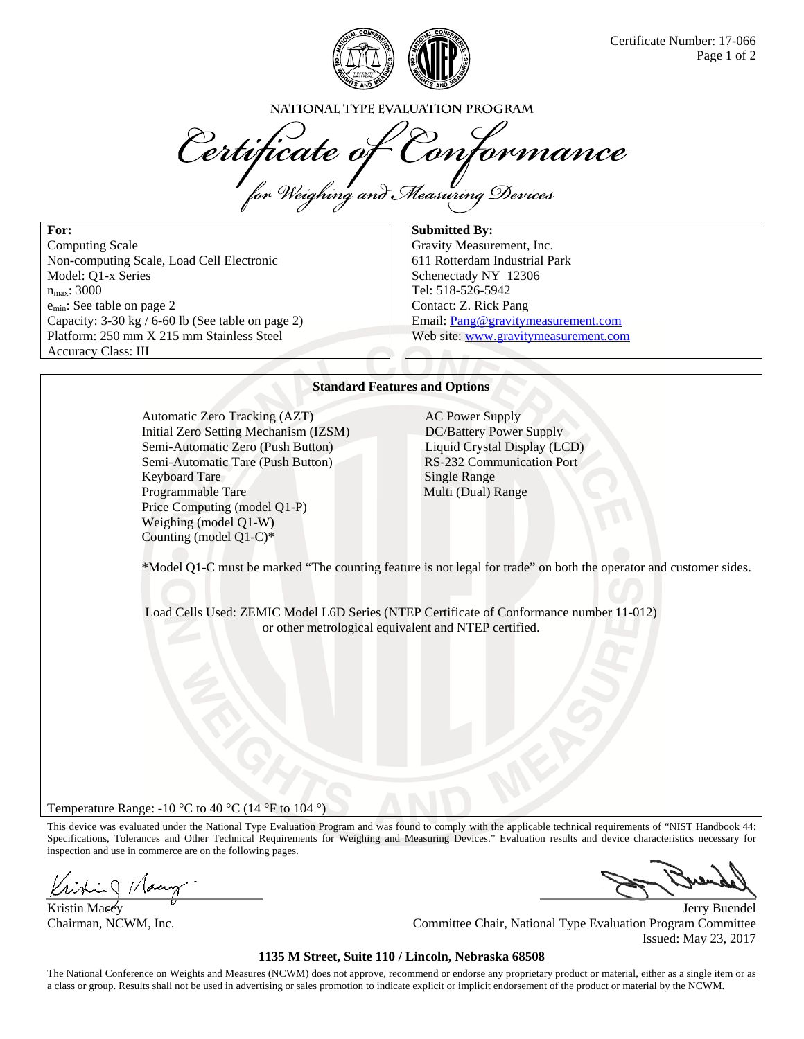

NATIONAL TYPE EVALUATION PROGRAM

Certificate of Conformance

**For:**  Computing Scale Non-computing Scale, Load Cell Electronic Model: Q1-x Series nmax: 3000 emin: See table on page 2 Capacity: 3-30 kg / 6-60 lb (See table on page 2) Platform: 250 mm X 215 mm Stainless Steel Accuracy Class: III

**Submitted By:**  Gravity Measurement, Inc. 611 Rotterdam Industrial Park Schenectady NY 12306 Tel: 518-526-5942 Contact: Z. Rick Pang Email: Pang@gravitymeasurement.com Web site: www.gravitymeasurement.com

### **Standard Features and Options**

Automatic Zero Tracking (AZT) AC Power Supply Initial Zero Setting Mechanism (IZSM) DC/Battery Power Supply Semi-Automatic Zero (Push Button) Liquid Crystal Display (LCD) Semi-Automatic Tare (Push Button) RS-232 Communication Port Keyboard Tare Single Range Programmable Tare Multi (Dual) Range Price Computing (model Q1-P) Weighing (model Q1-W) Counting (model Q1-C)\*

\*Model Q1-C must be marked "The counting feature is not legal for trade" on both the operator and customer sides.

Load Cells Used: ZEMIC Model L6D Series (NTEP Certificate of Conformance number 11-012) or other metrological equivalent and NTEP certified.

Temperature Range: -10  $\degree$ C to 40  $\degree$ C (14  $\degree$ F to 104  $\degree$ )

This device was evaluated under the National Type Evaluation Program and was found to comply with the applicable technical requirements of "NIST Handbook 44: Specifications, Tolerances and Other Technical Requirements for Weighing and Measuring Devices." Evaluation results and device characteristics necessary for inspection and use in commerce are on the following pages.

Kristin Macey **State Community Community Community** Server Acts and the Maceus of the Maceus of Buendel Chairman, NCWM, Inc. Committee Chair, National Type Evaluation Program Committee Issued: May 23, 2017

#### **1135 M Street, Suite 110 / Lincoln, Nebraska 68508**

The National Conference on Weights and Measures (NCWM) does not approve, recommend or endorse any proprietary product or material, either as a single item or as a class or group. Results shall not be used in advertising or sales promotion to indicate explicit or implicit endorsement of the product or material by the NCWM.